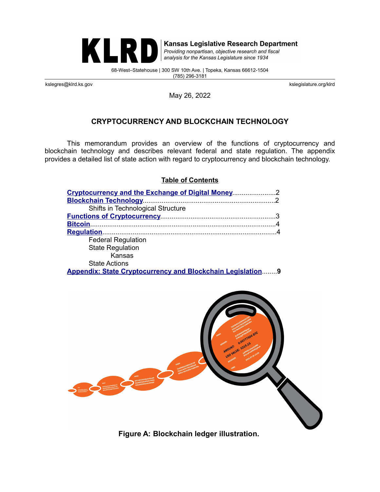

Kansas Legislative Research Department Providing nonpartisan, objective research and fiscal

analysis for the Kansas Legislature since 1934

68-West–Statehouse | 300 SW 10th Ave. | Topeka, Kansas 66612-1504 (785) 296-3181

kslegres@klrd.ks.gov kslegislature.org/klrd

May 26, 2022

# **CRYPTOCURRENCY AND BLOCKCHAIN TECHNOLOGY**

This memorandum provides an overview of the functions of cryptocurrency and blockchain technology and describes relevant federal and state regulation. The appendix provides a detailed list of state action with regard to cryptocurrency and blockchain technology.

#### **Table of Contents**

| Shifts in Technological Structure                           |  |
|-------------------------------------------------------------|--|
|                                                             |  |
|                                                             |  |
|                                                             |  |
| <b>Federal Regulation</b>                                   |  |
| <b>State Regulation</b>                                     |  |
| Kansas                                                      |  |
| <b>State Actions</b>                                        |  |
| Appendix: State Cryptocurrency and Blockchain Legislation 9 |  |



**Figure A: Blockchain ledger illustration.**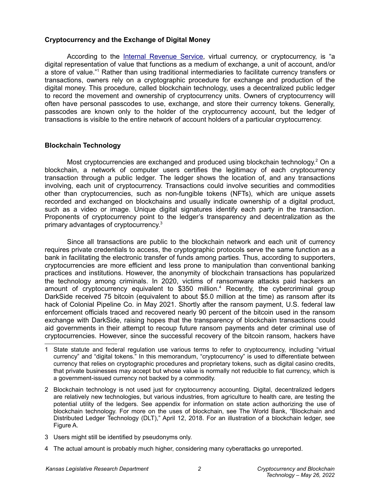## <span id="page-1-1"></span>**Cryptocurrency and the Exchange of Digital Money**

According to the [Internal Revenue Service,](https://www.irs.gov/pub/irs-drop/n-14-21.pdf) virtual currency, or cryptocurrency, is "a digital representation of value that functions as a medium of exchange, a unit of account, and/or a store of value."[1](#page-1-2) Rather than using traditional intermediaries to facilitate currency transfers or transactions, owners rely on a cryptographic procedure for exchange and production of the digital money. This procedure, called blockchain technology, uses a decentralized public ledger to record the movement and ownership of cryptocurrency units. Owners of cryptocurrency will often have personal passcodes to use, exchange, and store their currency tokens. Generally, passcodes are known only to the holder of the cryptocurrency account, but the ledger of transactions is visible to the entire network of account holders of a particular cryptocurrency.

## <span id="page-1-0"></span>**Blockchain Technology**

Most cryptocurrencies are exchanged and produced using blockchain technology.<sup>[2](#page-1-3)</sup> On a blockchain, a network of computer users certifies the legitimacy of each cryptocurrency transaction through a public ledger. The ledger shows the location of, and any transactions involving, each unit of cryptocurrency. Transactions could involve securities and commodities other than cryptocurrencies, such as non-fungible tokens (NFTs), which are unique assets recorded and exchanged on blockchains and usually indicate ownership of a digital product, such as a video or image. Unique digital signatures identify each party in the transaction. Proponents of cryptocurrency point to the ledger's transparency and decentralization as the primary advantages of cryptocurrency.[3](#page-1-4)

Since all transactions are public to the blockchain network and each unit of currency requires private credentials to access, the cryptographic protocols serve the same function as a bank in facilitating the electronic transfer of funds among parties. Thus, according to supporters, cryptocurrencies are more efficient and less prone to manipulation than conventional banking practices and institutions. However, the anonymity of blockchain transactions has popularized the technology among criminals. In 2020, victims of ransomware attacks paid hackers an amount of cryptocurrency equivalent to \$350 million. [4](#page-1-5) Recently, the cybercriminal group DarkSide received 75 bitcoin (equivalent to about \$5.0 million at the time) as ransom after its hack of Colonial Pipeline Co. in May 2021. Shortly after the ransom payment, U.S. federal law enforcement officials traced and recovered nearly 90 percent of the bitcoin used in the ransom exchange with DarkSide, raising hopes that the transparency of blockchain transactions could aid governments in their attempt to recoup future ransom payments and deter criminal use of cryptocurrencies. However, since the successful recovery of the bitcoin ransom, hackers have

- <span id="page-1-4"></span>3 Users might still be identified by pseudonyms only.
- <span id="page-1-5"></span>4 The actual amount is probably much higher, considering many cyberattacks go unreported.

<span id="page-1-2"></span><sup>1</sup> State statute and federal regulation use various terms to refer to cryptocurrency, including "virtual currency" and "digital tokens." In this memorandum, "cryptocurrency" is used to differentiate between currency that relies on cryptographic procedures and proprietary tokens, such as digital casino credits, that private businesses may accept but whose value is normally not reducible to fiat currency, which is a government-issued currency not backed by a commodity.

<span id="page-1-3"></span><sup>2</sup> Blockchain technology is not used just for cryptocurrency accounting. Digital, decentralized ledgers are relatively new technologies, but various industries, from agriculture to health care, are testing the potential utility of the ledgers. See appendix for information on state action authorizing the use of blockchain technology. For more on the uses of blockchain, see The World Bank, "Blockchain and Distributed Ledger Technology (DLT)," April 12, 2018. For an illustration of a blockchain ledger, see Figure A.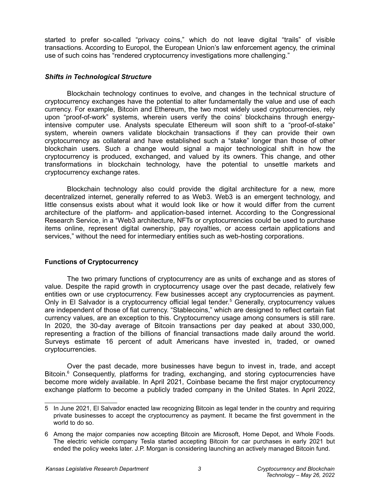started to prefer so-called "privacy coins," which do not leave digital "trails" of visible transactions. According to Europol, the European Union's law enforcement agency, the criminal use of such coins has "rendered cryptocurrency investigations more challenging."

#### *Shifts in Technological Structure*

Blockchain technology continues to evolve, and changes in the technical structure of cryptocurrency exchanges have the potential to alter fundamentally the value and use of each currency. For example, Bitcoin and Ethereum, the two most widely used cryptocurrencies, rely upon "proof-of-work" systems, wherein users verify the coins' blockchains through energyintensive computer use. Analysts speculate Ethereum will soon shift to a "proof-of-stake" system, wherein owners validate blockchain transactions if they can provide their own cryptocurrency as collateral and have established such a "stake" longer than those of other blockchain users. Such a change would signal a major technological shift in how the cryptocurrency is produced, exchanged, and valued by its owners. This change, and other transformations in blockchain technology, have the potential to unsettle markets and cryptocurrency exchange rates.

Blockchain technology also could provide the digital architecture for a new, more decentralized internet, generally referred to as Web3. Web3 is an emergent technology, and little consensus exists about what it would look like or how it would differ from the current architecture of the platform- and application-based internet. According to the Congressional Research Service, in a "Web3 architecture, NFTs or cryptocurrencies could be used to purchase items online, represent digital ownership, pay royalties, or access certain applications and services," without the need for intermediary entities such as web-hosting corporations.

## <span id="page-2-0"></span>**Functions of Cryptocurrency**

The two primary functions of cryptocurrency are as units of exchange and as stores of value. Despite the rapid growth in cryptocurrency usage over the past decade, relatively few entities own or use cryptocurrency. Few businesses accept any cryptocurrencies as payment. Only in El Salvador is a cryptocurrency official legal tender.<sup>[5](#page-2-1)</sup> Generally, cryptocurrency values are independent of those of fiat currency. "Stablecoins," which are designed to reflect certain fiat currency values, are an exception to this. Cryptocurrency usage among consumers is still rare. In 2020, the 30-day average of Bitcoin transactions per day peaked at about 330,000, representing a fraction of the billions of financial transactions made daily around the world. Surveys estimate 16 percent of adult Americans have invested in, traded, or owned cryptocurrencies.

Over the past decade, more businesses have begun to invest in, trade, and accept Bitcoin.<sup>[6](#page-2-2)</sup> Consequently, platforms for trading, exchanging, and storing cyptocurrencies have become more widely available. In April 2021, Coinbase became the first major cryptocurrency exchange platform to become a publicly traded company in the United States. In April 2022,

<span id="page-2-1"></span><sup>5</sup> In June 2021, El Salvador enacted law recognizing Bitcoin as legal tender in the country and requiring private businesses to accept the cryptocurrency as payment. It became the first government in the world to do so.

<span id="page-2-2"></span><sup>6</sup> Among the major companies now accepting Bitcoin are Microsoft, Home Depot, and Whole Foods. The electric vehicle company Tesla started accepting Bitcoin for car purchases in early 2021 but ended the policy weeks later. J.P. Morgan is considering launching an actively managed Bitcoin fund.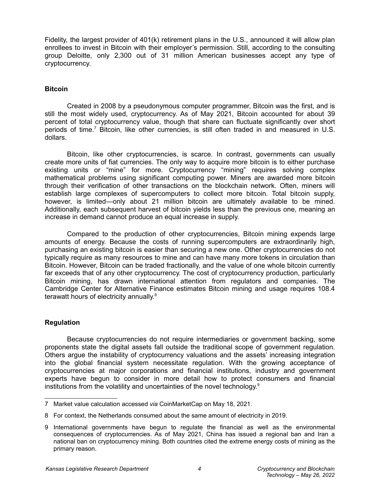Fidelity, the largest provider of 401(k) retirement plans in the U.S., announced it will allow plan enrollees to invest in Bitcoin with their employer's permission. Still, according to the consulting group Deloitte, only 2,300 out of 31 million American businesses accept any type of cryptocurrency.

#### <span id="page-3-1"></span>**Bitcoin**

Created in 2008 by a pseudonymous computer programmer, Bitcoin was the first, and is still the most widely used, cryptocurrency. As of May 2021, Bitcoin accounted for about 39 percent of total cryptocurrency value, though that share can fluctuate significantly over short periods of time.<sup>[7](#page-3-2)</sup> Bitcoin, like other currencies, is still often traded in and measured in U.S. dollars.

Bitcoin, like other cryptocurrencies, is scarce. In contrast, governments can usually create more units of fiat currencies. The only way to acquire more bitcoin is to either purchase existing units or "mine" for more. Cryptocurrency "mining" requires solving complex mathematical problems using significant computing power. Miners are awarded more bitcoin through their verification of other transactions on the blockchain network. Often, miners will establish large complexes of supercomputers to collect more bitcoin. Total bitcoin supply, however, is limited—only about 21 million bitcoin are ultimately available to be mined. Additionally, each subsequent harvest of bitcoin yields less than the previous one, meaning an increase in demand cannot produce an equal increase in supply.

Compared to the production of other cryptocurrencies, Bitcoin mining expends large amounts of energy. Because the costs of running supercomputers are extraordinarily high, purchasing an existing bitcoin is easier than securing a new one. Other cryptocurrencies do not typically require as many resources to mine and can have many more tokens in circulation than Bitcoin. However, Bitcoin can be traded fractionally, and the value of one whole bitcoin currently far exceeds that of any other cryptocurrency. The cost of cryptocurrency production, particularly Bitcoin mining, has drawn international attention from regulators and companies. The Cambridge Center for Alternative Finance estimates Bitcoin mining and usage requires 108.4 terawatt hours of electricity annually.<sup>[8](#page-3-3)</sup>

## <span id="page-3-0"></span>**Regulation**

Because cryptocurrencies do not require intermediaries or government backing, some proponents state the digital assets fall outside the traditional scope of government regulation. Others argue the instability of cryptocurrency valuations and the assets' increasing integration into the global financial system necessitate regulation. With the growing acceptance of cryptocurrencies at major corporations and financial institutions, industry and government experts have begun to consider in more detail how to protect consumers and financial institutions from the volatility and uncertainties of the novel technology.<sup>[9](#page-3-4)</sup>

<span id="page-3-2"></span><sup>7</sup> Market value calculation accessed *via* CoinMarketCap on May 18, 2021.

<span id="page-3-3"></span><sup>8</sup> For context, the Netherlands consumed about the same amount of electricity in 2019.

<span id="page-3-4"></span><sup>9</sup> International governments have begun to regulate the financial as well as the environmental consequences of cryptocurrencies. As of May 2021, China has issued a regional ban and Iran a national ban on cryptocurrency mining. Both countries cited the extreme energy costs of mining as the primary reason.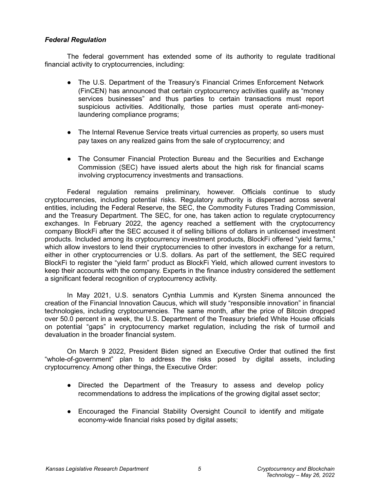## *Federal Regulation*

The federal government has extended some of its authority to regulate traditional financial activity to cryptocurrencies, including:

- The U.S. Department of the Treasury's Financial Crimes Enforcement Network (FinCEN) has announced that certain cryptocurrency activities qualify as "money services businesses" and thus parties to certain transactions must report suspicious activities. Additionally, those parties must operate anti-moneylaundering compliance programs;
- The Internal Revenue Service treats virtual currencies as property, so users must pay taxes on any realized gains from the sale of cryptocurrency; and
- The Consumer Financial Protection Bureau and the Securities and Exchange Commission (SEC) have issued alerts about the high risk for financial scams involving cryptocurrency investments and transactions.

Federal regulation remains preliminary, however. Officials continue to study cryptocurrencies, including potential risks. Regulatory authority is dispersed across several entities, including the Federal Reserve, the SEC, the Commodity Futures Trading Commission, and the Treasury Department. The SEC, for one, has taken action to regulate cryptocurrency exchanges. In February 2022, the agency reached a settlement with the cryptocurrency company BlockFi after the SEC accused it of selling billions of dollars in unlicensed investment products. Included among its cryptocurrency investment products, BlockFi offered "yield farms," which allow investors to lend their cryptocurrencies to other investors in exchange for a return, either in other cryptocurrencies or U.S. dollars. As part of the settlement, the SEC required BlockFi to register the "yield farm" product as BlockFi Yield, which allowed current investors to keep their accounts with the company. Experts in the finance industry considered the settlement a significant federal recognition of cryptocurrency activity.

In May 2021, U.S. senators Cynthia Lummis and Kyrsten Sinema announced the creation of the Financial Innovation Caucus, which will study "responsible innovation" in financial technologies, including cryptocurrencies. The same month, after the price of Bitcoin dropped over 50.0 percent in a week, the U.S. Department of the Treasury briefed White House officials on potential "gaps" in cryptocurrency market regulation, including the risk of turmoil and devaluation in the broader financial system.

On March 9 2022, President Biden signed an Executive Order that outlined the first "whole-of-government" plan to address the risks posed by digital assets, including cryptocurrency. Among other things, the Executive Order:

- Directed the Department of the Treasury to assess and develop policy recommendations to address the implications of the growing digital asset sector;
- Encouraged the Financial Stability Oversight Council to identify and mitigate economy-wide financial risks posed by digital assets;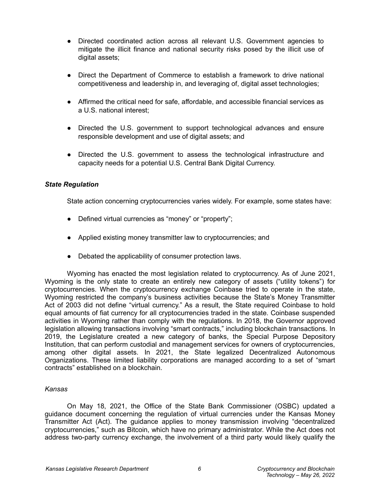- Directed coordinated action across all relevant U.S. Government agencies to mitigate the illicit finance and national security risks posed by the illicit use of digital assets;
- Direct the Department of Commerce to establish a framework to drive national competitiveness and leadership in, and leveraging of, digital asset technologies;
- Affirmed the critical need for safe, affordable, and accessible financial services as a U.S. national interest;
- Directed the U.S. government to support technological advances and ensure responsible development and use of digital assets; and
- Directed the U.S. government to assess the technological infrastructure and capacity needs for a potential U.S. Central Bank Digital Currency.

## *State Regulation*

State action concerning cryptocurrencies varies widely. For example, some states have:

- Defined virtual currencies as "money" or "property";
- Applied existing money transmitter law to cryptocurrencies; and
- Debated the applicability of consumer protection laws.

Wyoming has enacted the most legislation related to cryptocurrency. As of June 2021, Wyoming is the only state to create an entirely new category of assets ("utility tokens") for cryptocurrencies. When the cryptocurrency exchange Coinbase tried to operate in the state, Wyoming restricted the company's business activities because the State's Money Transmitter Act of 2003 did not define "virtual currency." As a result, the State required Coinbase to hold equal amounts of fiat currency for all cryptocurrencies traded in the state. Coinbase suspended activities in Wyoming rather than comply with the regulations. In 2018, the Governor approved legislation allowing transactions involving "smart contracts," including blockchain transactions. In 2019, the Legislature created a new category of banks, the Special Purpose Depository Institution, that can perform custodial and management services for owners of cryptocurrencies, among other digital assets. In 2021, the State legalized Decentralized Autonomous Organizations. These limited liability corporations are managed according to a set of "smart contracts" established on a blockchain.

## *Kansas*

On May 18, 2021, the Office of the State Bank Commissioner (OSBC) updated a guidance document concerning the regulation of virtual currencies under the Kansas Money Transmitter Act (Act). The guidance applies to money transmission involving "decentralized cryptocurrencies," such as Bitcoin, which have no primary administrator. While the Act does not address two-party currency exchange, the involvement of a third party would likely qualify the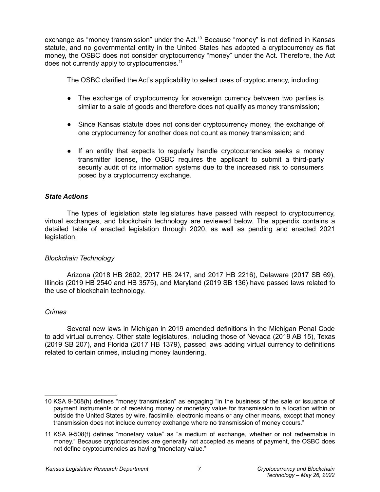exchange as "money transmission" under the Act.<sup>[10](#page-6-0)</sup> Because "money" is not defined in Kansas statute, and no governmental entity in the United States has adopted a cryptocurrency as fiat money, the OSBC does not consider cryptocurrency "money" under the Act. Therefore, the Act does not currently apply to cryptocurrencies.<sup>[11](#page-6-1)</sup>

The OSBC clarified the Act's applicability to select uses of cryptocurrency, including:

- The exchange of cryptocurrency for sovereign currency between two parties is similar to a sale of goods and therefore does not qualify as money transmission;
- Since Kansas statute does not consider cryptocurrency money, the exchange of one cryptocurrency for another does not count as money transmission; and
- If an entity that expects to regularly handle cryptocurrencies seeks a money transmitter license, the OSBC requires the applicant to submit a third-party security audit of its information systems due to the increased risk to consumers posed by a cryptocurrency exchange.

#### *State Actions*

The types of legislation state legislatures have passed with respect to cryptocurrency, virtual exchanges, and blockchain technology are reviewed below. The appendix contains a detailed table of enacted legislation through 2020, as well as pending and enacted 2021 legislation.

## *Blockchain Technology*

Arizona (2018 HB 2602, 2017 HB 2417, and 2017 HB 2216), Delaware (2017 SB 69), Illinois (2019 HB 2540 and HB 3575), and Maryland (2019 SB 136) have passed laws related to the use of blockchain technology.

#### *Crimes*

Several new laws in Michigan in 2019 amended definitions in the Michigan Penal Code to add virtual currency. Other state legislatures, including those of Nevada (2019 AB 15), Texas (2019 SB 207), and Florida (2017 HB 1379), passed laws adding virtual currency to definitions related to certain crimes, including money laundering.

<span id="page-6-0"></span><sup>10</sup> KSA 9-508(h) defines "money transmission" as engaging "in the business of the sale or issuance of payment instruments or of receiving money or monetary value for transmission to a location within or outside the United States by wire, facsimile, electronic means or any other means, except that money transmission does not include currency exchange where no transmission of money occurs."

<span id="page-6-1"></span><sup>11</sup> KSA 9-508(f) defines "monetary value" as "a medium of exchange, whether or not redeemable in money." Because cryptocurrencies are generally not accepted as means of payment, the OSBC does not define cryptocurrencies as having "monetary value."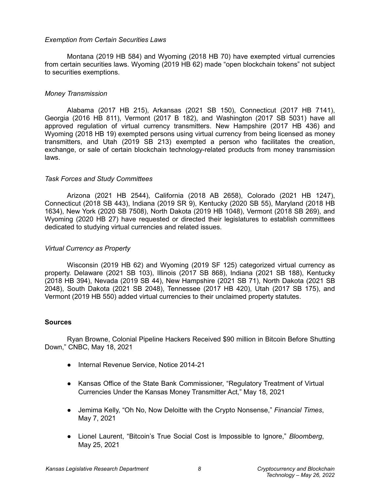#### *Exemption from Certain Securities Laws*

Montana (2019 HB 584) and Wyoming (2018 HB 70) have exempted virtual currencies from certain securities laws. Wyoming (2019 HB 62) made "open blockchain tokens" not subject to securities exemptions.

### *Money Transmission*

Alabama (2017 HB 215), Arkansas (2021 SB 150), Connecticut (2017 HB 7141), Georgia (2016 HB 811), Vermont (2017 B 182), and Washington (2017 SB 5031) have all approved regulation of virtual currency transmitters. New Hampshire (2017 HB 436) and Wyoming (2018 HB 19) exempted persons using virtual currency from being licensed as money transmitters, and Utah (2019 SB 213) exempted a person who facilitates the creation, exchange, or sale of certain blockchain technology-related products from money transmission laws.

#### *Task Forces and Study Committees*

Arizona (2021 HB 2544), California (2018 AB 2658), Colorado (2021 HB 1247), Connecticut (2018 SB 443), Indiana (2019 SR 9), Kentucky (2020 SB 55), Maryland (2018 HB 1634), New York (2020 SB 7508), North Dakota (2019 HB 1048), Vermont (2018 SB 269), and Wyoming (2020 HB 27) have requested or directed their legislatures to establish committees dedicated to studying virtual currencies and related issues.

### *Virtual Currency as Property*

Wisconsin (2019 HB 62) and Wyoming (2019 SF 125) categorized virtual currency as property. Delaware (2021 SB 103), Illinois (2017 SB 868), Indiana (2021 SB 188), Kentucky (2018 HB 394), Nevada (2019 SB 44), New Hampshire (2021 SB 71), North Dakota (2021 SB 2048), South Dakota (2021 SB 2048), Tennessee (2017 HB 420), Utah (2017 SB 175), and Vermont (2019 HB 550) added virtual currencies to their unclaimed property statutes.

#### **Sources**

Ryan Browne, Colonial Pipeline Hackers Received \$90 million in Bitcoin Before Shutting Down," CNBC, May 18, 2021

- Internal Revenue Service, Notice 2014-21
- Kansas Office of the State Bank Commissioner, "Regulatory Treatment of Virtual Currencies Under the Kansas Money Transmitter Act," May 18, 2021
- Jemima Kelly, "Oh No, Now Deloitte with the Crypto Nonsense," *Financial Times*, May 7, 2021
- Lionel Laurent, "Bitcoin's True Social Cost is Impossible to Ignore," *Bloomberg*, May 25, 2021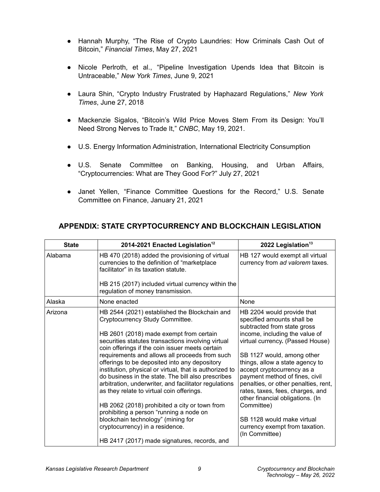- Hannah Murphy, "The Rise of Crypto Laundries: How Criminals Cash Out of Bitcoin," *Financial Times*, May 27, 2021
- Nicole Perlroth, et al., "Pipeline Investigation Upends Idea that Bitcoin is Untraceable," *New York Times*, June 9, 2021
- Laura Shin, "Crypto Industry Frustrated by Haphazard Regulations," *New York Times*, June 27, 2018
- Mackenzie Sigalos, "Bitcoin's Wild Price Moves Stem From its Design: You'll Need Strong Nerves to Trade It," *CNBC*, May 19, 2021.
- U.S. Energy Information Administration, International Electricity Consumption
- U.S. Senate Committee on Banking, Housing, and Urban Affairs, "Cryptocurrencies: What are They Good For?" July 27, 2021
- Janet Yellen, "Finance Committee Questions for the Record," U.S. Senate Committee on Finance, January 21, 2021

| <b>State</b> | 2014-2021 Enacted Legislation <sup>12</sup>                                                                                                                                                                                                                               | 2022 Legislation <sup>13</sup>                                                                                                                                        |
|--------------|---------------------------------------------------------------------------------------------------------------------------------------------------------------------------------------------------------------------------------------------------------------------------|-----------------------------------------------------------------------------------------------------------------------------------------------------------------------|
| Alabama      | HB 470 (2018) added the provisioning of virtual<br>currencies to the definition of "marketplace<br>facilitator" in its taxation statute.                                                                                                                                  | HB 127 would exempt all virtual<br>currency from ad valorem taxes.                                                                                                    |
|              | HB 215 (2017) included virtual currency within the<br>regulation of money transmission.                                                                                                                                                                                   |                                                                                                                                                                       |
| Alaska       | None enacted                                                                                                                                                                                                                                                              | None                                                                                                                                                                  |
| Arizona      | HB 2544 (2021) established the Blockchain and<br>Cryptocurrency Study Committee.                                                                                                                                                                                          | HB 2204 would provide that<br>specified amounts shall be<br>subtracted from state gross                                                                               |
|              | HB 2601 (2018) made exempt from certain<br>securities statutes transactions involving virtual<br>coin offerings if the coin issuer meets certain                                                                                                                          | income, including the value of<br>virtual currency. (Passed House)                                                                                                    |
|              | requirements and allows all proceeds from such<br>offerings to be deposited into any depository<br>institution, physical or virtual, that is authorized to<br>do business in the state. The bill also prescribes<br>arbitration, underwriter, and facilitator regulations | SB 1127 would, among other<br>things, allow a state agency to<br>accept cryptocurrency as a<br>payment method of fines, civil<br>penalties, or other penalties, rent, |
|              | as they relate to virtual coin offerings.                                                                                                                                                                                                                                 | rates, taxes, fees, charges, and<br>other financial obligations. (In                                                                                                  |
|              | HB 2062 (2018) prohibited a city or town from<br>prohibiting a person "running a node on                                                                                                                                                                                  | Committee)                                                                                                                                                            |
|              | blockchain technology" (mining for<br>cryptocurrency) in a residence.                                                                                                                                                                                                     | SB 1128 would make virtual<br>currency exempt from taxation.<br>(In Committee)                                                                                        |
|              | HB 2417 (2017) made signatures, records, and                                                                                                                                                                                                                              |                                                                                                                                                                       |

# <span id="page-8-0"></span>**APPENDIX: STATE CRYPTOCURRENCY AND BLOCKCHAIN LEGISLATION**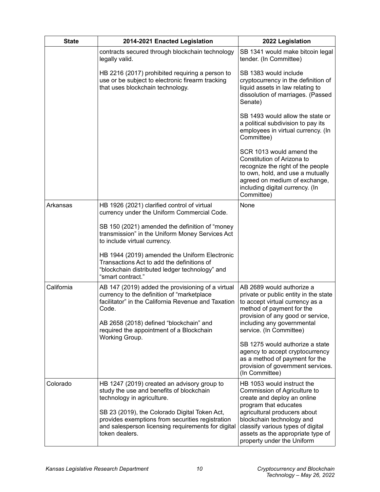| <b>State</b> | 2014-2021 Enacted Legislation                                                                                                                                             | 2022 Legislation                                                                                                                                                                                                  |
|--------------|---------------------------------------------------------------------------------------------------------------------------------------------------------------------------|-------------------------------------------------------------------------------------------------------------------------------------------------------------------------------------------------------------------|
|              | contracts secured through blockchain technology<br>legally valid.                                                                                                         | SB 1341 would make bitcoin legal<br>tender. (In Committee)                                                                                                                                                        |
|              | HB 2216 (2017) prohibited requiring a person to<br>use or be subject to electronic firearm tracking<br>that uses blockchain technology.                                   | SB 1383 would include<br>cryptocurrency in the definition of<br>liquid assets in law relating to<br>dissolution of marriages. (Passed<br>Senate)                                                                  |
|              |                                                                                                                                                                           | SB 1493 would allow the state or<br>a political subdivision to pay its<br>employees in virtual currency. (In<br>Committee)                                                                                        |
|              |                                                                                                                                                                           | SCR 1013 would amend the<br>Constitution of Arizona to<br>recognize the right of the people<br>to own, hold, and use a mutually<br>agreed on medium of exchange,<br>including digital currency. (In<br>Committee) |
| Arkansas     | HB 1926 (2021) clarified control of virtual<br>currency under the Uniform Commercial Code.                                                                                | None                                                                                                                                                                                                              |
|              | SB 150 (2021) amended the definition of "money<br>transmission" in the Uniform Money Services Act<br>to include virtual currency.                                         |                                                                                                                                                                                                                   |
|              | HB 1944 (2019) amended the Uniform Electronic<br>Transactions Act to add the definitions of<br>"blockchain distributed ledger technology" and<br>"smart contract."        |                                                                                                                                                                                                                   |
| California   | AB 147 (2019) added the provisioning of a virtual<br>currency to the definition of "marketplace<br>facilitator" in the California Revenue and Taxation<br>Code.           | AB 2689 would authorize a<br>private or public entity in the state<br>to accept virtual currency as a<br>method of payment for the                                                                                |
|              | AB 2658 (2018) defined "blockchain" and<br>required the appointment of a Blockchain<br>Working Group.                                                                     | provision of any good or service,<br>including any governmental<br>service. (In Committee)                                                                                                                        |
|              |                                                                                                                                                                           | SB 1275 would authorize a state<br>agency to accept cryptocurrency<br>as a method of payment for the<br>provision of government services.<br>(In Committee)                                                       |
| Colorado     | HB 1247 (2019) created an advisory group to<br>study the use and benefits of blockchain<br>technology in agriculture.                                                     | HB 1053 would instruct the<br>Commission of Agriculture to<br>create and deploy an online<br>program that educates                                                                                                |
|              | SB 23 (2019), the Colorado Digital Token Act,<br>provides exemptions from securities registration<br>and salesperson licensing requirements for digital<br>token dealers. | agricultural producers about<br>blockchain technology and<br>classify various types of digital<br>assets as the appropriate type of<br>property under the Uniform                                                 |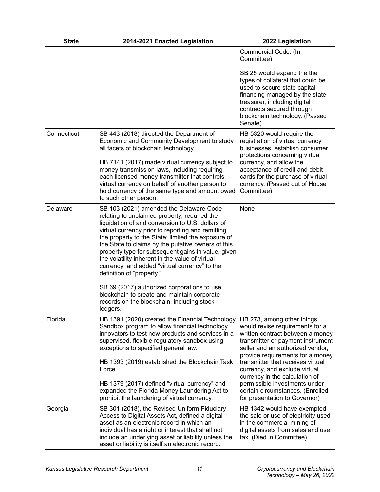| <b>State</b> | 2014-2021 Enacted Legislation                                                                                                                                                                                                                                                                                                                                                                                                                                                                                                                                                                                                                               | 2022 Legislation                                                                                                                                                                                                                                                                                                                                                                                                              |
|--------------|-------------------------------------------------------------------------------------------------------------------------------------------------------------------------------------------------------------------------------------------------------------------------------------------------------------------------------------------------------------------------------------------------------------------------------------------------------------------------------------------------------------------------------------------------------------------------------------------------------------------------------------------------------------|-------------------------------------------------------------------------------------------------------------------------------------------------------------------------------------------------------------------------------------------------------------------------------------------------------------------------------------------------------------------------------------------------------------------------------|
|              |                                                                                                                                                                                                                                                                                                                                                                                                                                                                                                                                                                                                                                                             | Commercial Code. (In<br>Committee)                                                                                                                                                                                                                                                                                                                                                                                            |
|              |                                                                                                                                                                                                                                                                                                                                                                                                                                                                                                                                                                                                                                                             | SB 25 would expand the the<br>types of collateral that could be<br>used to secure state capital<br>financing managed by the state<br>treasurer, including digital<br>contracts secured through<br>blockchain technology. (Passed<br>Senate)                                                                                                                                                                                   |
| Connecticut  | SB 443 (2018) directed the Department of<br>Economic and Community Development to study<br>all facets of blockchain technology.<br>HB 7141 (2017) made virtual currency subject to<br>money transmission laws, including requiring<br>each licensed money transmitter that controls<br>virtual currency on behalf of another person to<br>hold currency of the same type and amount owed<br>to such other person.                                                                                                                                                                                                                                           | HB 5320 would require the<br>registration of virtual currency<br>businesses, establish consumer<br>protections concerning virtual<br>currency, and allow the<br>acceptance of credit and debit<br>cards for the purchase of virtual<br>currency. (Passed out of House<br>Committee)                                                                                                                                           |
| Delaware     | SB 103 (2021) amended the Delaware Code<br>relating to unclaimed property; required the<br>liquidation of and conversion to U.S. dollars of<br>virtual currency prior to reporting and remitting<br>the property to the State; limited the exposure of<br>the State to claims by the putative owners of this<br>property type for subsequent gains in value, given<br>the volatility inherent in the value of virtual<br>currency; and added "virtual currency" to the<br>definition of "property."<br>SB 69 (2017) authorized corporations to use<br>blockchain to create and maintain corporate<br>records on the blockchain, including stock<br>ledgers. | None                                                                                                                                                                                                                                                                                                                                                                                                                          |
| Florida      | HB 1391 (2020) created the Financial Technology<br>Sandbox program to allow financial technology<br>innovators to test new products and services in a<br>supervised, flexible regulatory sandbox using<br>exceptions to specified general law.<br>HB 1393 (2019) established the Blockchain Task<br>Force.<br>HB 1379 (2017) defined "virtual currency" and<br>expanded the Florida Money Laundering Act to<br>prohibit the laundering of virtual currency.                                                                                                                                                                                                 | HB 273, among other things,<br>would revise requirements for a<br>written contract between a money<br>transmitter or payment instrument<br>seller and an authorized vendor,<br>provide requirements for a money<br>transmitter that receives virtual<br>currency, and exclude virtual<br>currency in the calculation of<br>permissible investments under<br>certain circumstances. (Enrolled<br>for presentation to Governor) |
| Georgia      | SB 301 (2018), the Revised Uniform Fiduciary<br>Access to Digital Assets Act, defined a digital<br>asset as an electronic record in which an<br>individual has a right or interest that shall not<br>include an underlying asset or liability unless the<br>asset or liability is itself an electronic record.                                                                                                                                                                                                                                                                                                                                              | HB 1342 would have exempted<br>the sale or use of electricity used<br>in the commercial mining of<br>digital assets from sales and use<br>tax. (Died in Committee)                                                                                                                                                                                                                                                            |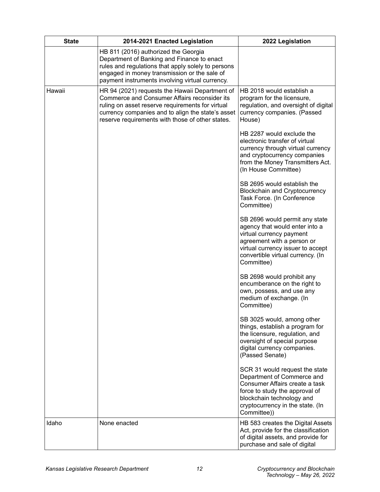| <b>State</b> | 2014-2021 Enacted Legislation                                                                                                                                                                                                                               | 2022 Legislation                                                                                                                                                                                                   |
|--------------|-------------------------------------------------------------------------------------------------------------------------------------------------------------------------------------------------------------------------------------------------------------|--------------------------------------------------------------------------------------------------------------------------------------------------------------------------------------------------------------------|
|              | HB 811 (2016) authorized the Georgia<br>Department of Banking and Finance to enact<br>rules and regulations that apply solely to persons<br>engaged in money transmission or the sale of<br>payment instruments involving virtual currency.                 |                                                                                                                                                                                                                    |
| Hawaii       | HR 94 (2021) requests the Hawaii Department of<br>Commerce and Consumer Affairs reconsider its<br>ruling on asset reserve requirements for virtual<br>currency companies and to align the state's asset<br>reserve requirements with those of other states. | HB 2018 would establish a<br>program for the licensure,<br>regulation, and oversight of digital<br>currency companies. (Passed<br>House)                                                                           |
|              |                                                                                                                                                                                                                                                             | HB 2287 would exclude the<br>electronic transfer of virtual<br>currency through virtual currency<br>and cryptocurrency companies<br>from the Money Transmitters Act.<br>(In House Committee)                       |
|              |                                                                                                                                                                                                                                                             | SB 2695 would establish the<br><b>Blockchain and Cryptocurrency</b><br>Task Force. (In Conference<br>Committee)                                                                                                    |
|              |                                                                                                                                                                                                                                                             | SB 2696 would permit any state<br>agency that would enter into a<br>virtual currency payment<br>agreement with a person or<br>virtual currency issuer to accept<br>convertible virtual currency. (In<br>Committee) |
|              |                                                                                                                                                                                                                                                             | SB 2698 would prohibit any<br>encumberance on the right to<br>own, possess, and use any<br>medium of exchange. (In<br>Committee)                                                                                   |
|              |                                                                                                                                                                                                                                                             | SB 3025 would, among other<br>things, establish a program for<br>the licensure, regulation, and<br>oversight of special purpose<br>digital currency companies.<br>(Passed Senate)                                  |
|              |                                                                                                                                                                                                                                                             | SCR 31 would request the state<br>Department of Commerce and<br>Consumer Affairs create a task<br>force to study the approval of<br>blockchain technology and<br>cryptocurrency in the state. (In<br>Committee))   |
| Idaho        | None enacted                                                                                                                                                                                                                                                | HB 583 creates the Digital Assets<br>Act, provide for the classification<br>of digital assets, and provide for<br>purchase and sale of digital                                                                     |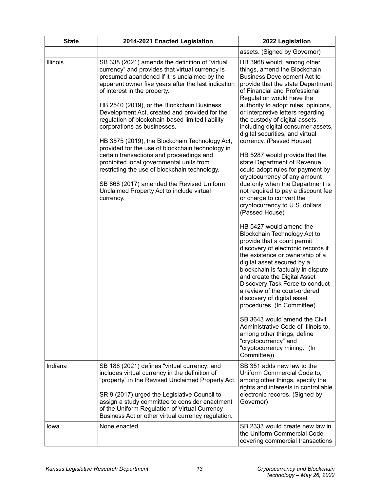| <b>State</b> | 2014-2021 Enacted Legislation                                                                                                                                                                                                                                                                                                                                                                                                                                                                                                                                                                                                                                                                                                                                                     | 2022 Legislation                                                                                                                                                                                                                                                                                                                                                                                                                                                                                                                                                                                                                                                                                                                                                                                                                                                                                                                                                                                                                                                                                                                                                                                                                                                                                          |
|--------------|-----------------------------------------------------------------------------------------------------------------------------------------------------------------------------------------------------------------------------------------------------------------------------------------------------------------------------------------------------------------------------------------------------------------------------------------------------------------------------------------------------------------------------------------------------------------------------------------------------------------------------------------------------------------------------------------------------------------------------------------------------------------------------------|-----------------------------------------------------------------------------------------------------------------------------------------------------------------------------------------------------------------------------------------------------------------------------------------------------------------------------------------------------------------------------------------------------------------------------------------------------------------------------------------------------------------------------------------------------------------------------------------------------------------------------------------------------------------------------------------------------------------------------------------------------------------------------------------------------------------------------------------------------------------------------------------------------------------------------------------------------------------------------------------------------------------------------------------------------------------------------------------------------------------------------------------------------------------------------------------------------------------------------------------------------------------------------------------------------------|
|              |                                                                                                                                                                                                                                                                                                                                                                                                                                                                                                                                                                                                                                                                                                                                                                                   | assets. (Signed by Governor)                                                                                                                                                                                                                                                                                                                                                                                                                                                                                                                                                                                                                                                                                                                                                                                                                                                                                                                                                                                                                                                                                                                                                                                                                                                                              |
| Illinois     | SB 338 (2021) amends the definition of "virtual<br>currency" and provides that virtual currency is<br>presumed abandoned if it is unclaimed by the<br>apparent owner five years after the last indication<br>of interest in the property.<br>HB 2540 (2019), or the Blockchain Business<br>Development Act, created and provided for the<br>regulation of blockchain-based limited liability<br>corporations as businesses.<br>HB 3575 (2019), the Blockchain Technology Act,<br>provided for the use of blockchain technology in<br>certain transactions and proceedings and<br>prohibited local governmental units from<br>restricting the use of blockchain technology.<br>SB 868 (2017) amended the Revised Uniform<br>Unclaimed Property Act to include virtual<br>currency. | HB 3968 would, among other<br>things, amend the Blockchain<br><b>Business Development Act to</b><br>provide that the state Department<br>of Financial and Professional<br>Regulation would have the<br>authority to adopt rules, opinions,<br>or interpretive letters regarding<br>the custody of digital assets,<br>including digital consumer assets,<br>digital securities, and virtual<br>currency. (Passed House)<br>HB 5287 would provide that the<br>state Department of Revenue<br>could adopt rules for payment by<br>cryptocurrency of any amount<br>due only when the Department is<br>not required to pay a discount fee<br>or charge to convert the<br>cryptocurrency to U.S. dollars.<br>(Passed House)<br>HB 5427 would amend the<br>Blockchain Technology Act to<br>provide that a court permit<br>discovery of electronic records if<br>the existence or ownership of a<br>digital asset secured by a<br>blockchain is factually in dispute<br>and create the Digital Asset<br>Discovery Task Force to conduct<br>a review of the court-ordered<br>discovery of digital asset<br>procedures. (In Committee)<br>SB 3643 would amend the Civil<br>Administrative Code of Illinois to,<br>among other things, define<br>"cryptocurrency" and<br>"cryptocurrency mining." (In<br>Committee)) |
| Indiana      | SB 188 (2021) defines "virtual currency: and<br>includes virtual currency in the definition of<br>"property" in the Revised Unclaimed Property Act.<br>SR 9 (2017) urged the Legislative Council to<br>assign a study committee to consider enactment<br>of the Uniform Regulation of Virtual Currency<br>Business Act or other virtual currency regulation.                                                                                                                                                                                                                                                                                                                                                                                                                      | SB 351 adds new law to the<br>Uniform Commercial Code to,<br>among other things, specify the<br>rights and interests in controllable<br>electronic records. (Signed by<br>Governor)                                                                                                                                                                                                                                                                                                                                                                                                                                                                                                                                                                                                                                                                                                                                                                                                                                                                                                                                                                                                                                                                                                                       |
| lowa         | None enacted                                                                                                                                                                                                                                                                                                                                                                                                                                                                                                                                                                                                                                                                                                                                                                      | SB 2333 would create new law in<br>the Uniform Commercial Code<br>covering commercial transactions                                                                                                                                                                                                                                                                                                                                                                                                                                                                                                                                                                                                                                                                                                                                                                                                                                                                                                                                                                                                                                                                                                                                                                                                        |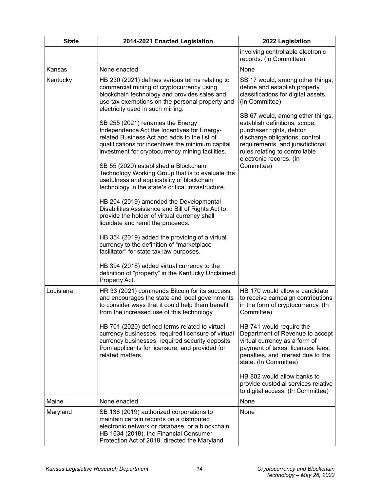| <b>State</b> | 2014-2021 Enacted Legislation                                                                                                                                                                                                            | 2022 Legislation                                                                                                                                                                                 |
|--------------|------------------------------------------------------------------------------------------------------------------------------------------------------------------------------------------------------------------------------------------|--------------------------------------------------------------------------------------------------------------------------------------------------------------------------------------------------|
|              |                                                                                                                                                                                                                                          | involving controllable electronic<br>records. (In Committee)                                                                                                                                     |
| Kansas       | None enacted                                                                                                                                                                                                                             | None                                                                                                                                                                                             |
| Kentucky     | HB 230 (2021) defines various terms relating to<br>commercial mining of cryptocurrency using<br>blockchain technology and provides sales and<br>use tax exemptions on the personal property and<br>electricity used in such mining.      | SB 17 would, among other things,<br>define and establish property<br>classifications for digital assets.<br>(In Committee)<br>SB 67 would, among other things,                                   |
|              | SB 255 (2021) renames the Energy<br>Independence Act the Incentives for Energy-<br>related Business Act and adds to the list of<br>qualifications for incentives the minimum capital<br>investment for cryptocurrency mining facilities. | establish definitions, scope,<br>purchaser rights, debtor<br>discharge obligations, control<br>requirements, and jurisdictional<br>rules relating to controllable<br>electronic records. (In     |
|              | SB 55 (2020) established a Blockchain<br>Technology Working Group that is to evaluate the<br>usefulness and applicability of blockchain<br>technology in the state's critical infrastructure.                                            | Committee)                                                                                                                                                                                       |
|              | HB 204 (2019) amended the Developmental<br>Disabilities Assistance and Bill of Rights Act to<br>provide the holder of virtual currency shall<br>liquidate and remit the proceeds.                                                        |                                                                                                                                                                                                  |
|              | HB 354 (2019) added the providing of a virtual<br>currency to the definition of "marketplace<br>facilitator" for state tax law purposes.                                                                                                 |                                                                                                                                                                                                  |
|              | HB 394 (2018) added virtual currency to the<br>definition of "property" in the Kentucky Unclaimed<br>Property Act.                                                                                                                       |                                                                                                                                                                                                  |
| Louisiana    | HR 33 (2021) commends Bitcoin for its success<br>and encourages the state and local governments<br>to consider ways that it could help them benefit<br>from the increased use of this technology.                                        | HB 170 would allow a candidate<br>to receive campaign contributions<br>in the form of cryptocurrency. (In<br>Committee)                                                                          |
|              | HB 701 (2020) defined terms related to virtual<br>currency businesses, required licensure of virtual<br>currency businesses, required security deposits<br>from applicants for licensure, and provided for<br>related matters.           | HB 741 would require the<br>Department of Revenue to accept<br>virtual currency as a form of<br>payment of taxes, licenses, fees,<br>penalties, and interest due to the<br>state. (In Committee) |
|              |                                                                                                                                                                                                                                          | HB 802 would allow banks to<br>provide custodial services relative<br>to digital access. (In Committee)                                                                                          |
| Maine        | None enacted                                                                                                                                                                                                                             | None                                                                                                                                                                                             |
| Maryland     | SB 136 (2019) authorized corporations to<br>maintain certain records on a distributed<br>electronic network or database, or a blockchain.<br>HB 1634 (2018), the Financial Consumer<br>Protection Act of 2018, directed the Maryland     | None                                                                                                                                                                                             |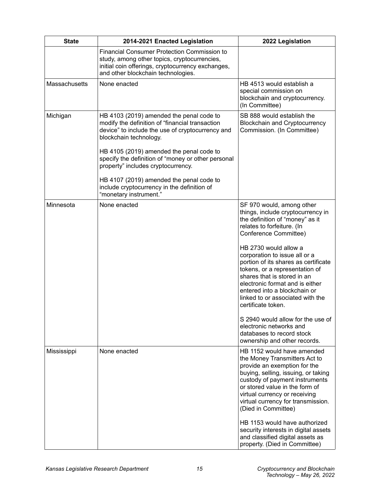| <b>State</b>  | 2014-2021 Enacted Legislation                                                                                                                                                                                                                                                                                                                                                                                                          | 2022 Legislation                                                                                                                                                                                                                                                                                                                                                                                                                                                                                                                                                                      |
|---------------|----------------------------------------------------------------------------------------------------------------------------------------------------------------------------------------------------------------------------------------------------------------------------------------------------------------------------------------------------------------------------------------------------------------------------------------|---------------------------------------------------------------------------------------------------------------------------------------------------------------------------------------------------------------------------------------------------------------------------------------------------------------------------------------------------------------------------------------------------------------------------------------------------------------------------------------------------------------------------------------------------------------------------------------|
|               | <b>Financial Consumer Protection Commission to</b><br>study, among other topics, cryptocurrencies,<br>initial coin offerings, cryptocurrency exchanges,<br>and other blockchain technologies.                                                                                                                                                                                                                                          |                                                                                                                                                                                                                                                                                                                                                                                                                                                                                                                                                                                       |
| Massachusetts | None enacted                                                                                                                                                                                                                                                                                                                                                                                                                           | HB 4513 would establish a<br>special commission on<br>blockchain and cryptocurrency.<br>(In Committee)                                                                                                                                                                                                                                                                                                                                                                                                                                                                                |
| Michigan      | HB 4103 (2019) amended the penal code to<br>modify the definition of "financial transaction<br>device" to include the use of cryptocurrency and<br>blockchain technology.<br>HB 4105 (2019) amended the penal code to<br>specify the definition of "money or other personal<br>property" includes cryptocurrency.<br>HB 4107 (2019) amended the penal code to<br>include cryptocurrency in the definition of<br>"monetary instrument." | SB 888 would establish the<br><b>Blockchain and Cryptocurrency</b><br>Commission. (In Committee)                                                                                                                                                                                                                                                                                                                                                                                                                                                                                      |
| Minnesota     | None enacted                                                                                                                                                                                                                                                                                                                                                                                                                           | SF 970 would, among other<br>things, include cryptocurrency in<br>the definition of "money" as it<br>relates to forfeiture. (In<br>Conference Committee)<br>HB 2730 would allow a<br>corporation to issue all or a<br>portion of its shares as certificate<br>tokens, or a representation of<br>shares that is stored in an<br>electronic format and is either<br>entered into a blockchain or<br>linked to or associated with the<br>certificate token.<br>S 2940 would allow for the use of<br>electronic networks and<br>databases to record stock<br>ownership and other records. |
| Mississippi   | None enacted                                                                                                                                                                                                                                                                                                                                                                                                                           | HB 1152 would have amended<br>the Money Transmitters Act to<br>provide an exemption for the<br>buying, selling, issuing, or taking<br>custody of payment instruments<br>or stored value in the form of<br>virtual currency or receiving<br>virtual currency for transmission.<br>(Died in Committee)<br>HB 1153 would have authorized<br>security interests in digital assets<br>and classified digital assets as<br>property. (Died in Committee)                                                                                                                                    |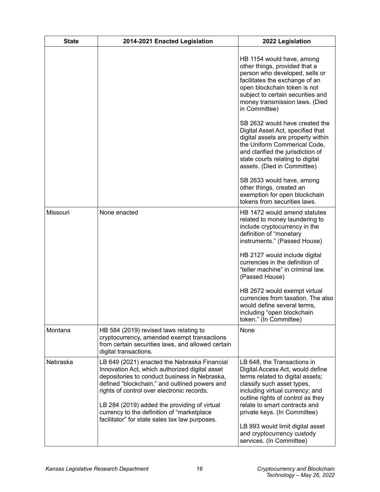| <b>State</b> | 2014-2021 Enacted Legislation                                                                                                                                                                                                                                                                                                                                                                  | 2022 Legislation                                                                                                                                                                                                                                                                                               |
|--------------|------------------------------------------------------------------------------------------------------------------------------------------------------------------------------------------------------------------------------------------------------------------------------------------------------------------------------------------------------------------------------------------------|----------------------------------------------------------------------------------------------------------------------------------------------------------------------------------------------------------------------------------------------------------------------------------------------------------------|
|              |                                                                                                                                                                                                                                                                                                                                                                                                | HB 1154 would have, among<br>other things, provided that a<br>person who developed, sells or<br>facilitates the exchange of an<br>open blockchain token is not<br>subject to certain securities and<br>money transmission laws. (Died<br>in Committee)                                                         |
|              |                                                                                                                                                                                                                                                                                                                                                                                                | SB 2632 would have created the<br>Digital Asset Act, specified that<br>digital assets are property within<br>the Uniform Commerical Code,<br>and clarified the jurisdiction of<br>state courts relating to digital<br>assets. (Died in Committee)                                                              |
|              |                                                                                                                                                                                                                                                                                                                                                                                                | SB 2633 would have, among<br>other things, created an<br>exemption for open blockchain<br>tokens from securities laws.                                                                                                                                                                                         |
| Missouri     | None enacted                                                                                                                                                                                                                                                                                                                                                                                   | HB 1472 would amend statutes<br>related to money laundering to<br>include cryptocurrency in the<br>definition of "monetary<br>instruments." (Passed House)                                                                                                                                                     |
|              |                                                                                                                                                                                                                                                                                                                                                                                                | HB 2127 would include digital<br>currencies in the definition of<br>"teller machine" in criminal law.<br>(Passed House)                                                                                                                                                                                        |
|              |                                                                                                                                                                                                                                                                                                                                                                                                | HB 2672 would exempt virtual<br>currencies from taxation. The also<br>would define several terms,<br>including "open blockchain<br>token." (In Committee)                                                                                                                                                      |
| Montana      | HB 584 (2019) revised laws relating to<br>cryptocurrency, amended exempt transactions<br>from certain securities laws, and allowed certain<br>digital transactions.                                                                                                                                                                                                                            | None                                                                                                                                                                                                                                                                                                           |
| Nebraska     | LB 649 (2021) enacted the Nebraska Financial<br>Innovation Act, which authorized digital asset<br>depositories to conduct business in Nebraska,<br>defined "blockchain," and outlined powers and<br>rights of control over electronic records.<br>LB 284 (2019) added the providing of virtual<br>currency to the definition of "marketplace<br>facilitator" for state sales tax law purposes. | LB 648, the Transactions in<br>Digital Access Act, would define<br>terms related to digital assets;<br>classify such asset types,<br>including virtual currency; and<br>outline rights of control as they<br>relate to smart contracts and<br>private keys. (In Committee)<br>LB 993 would limit digital asset |
|              |                                                                                                                                                                                                                                                                                                                                                                                                | and cryptocurrency custody<br>services. (In Committee)                                                                                                                                                                                                                                                         |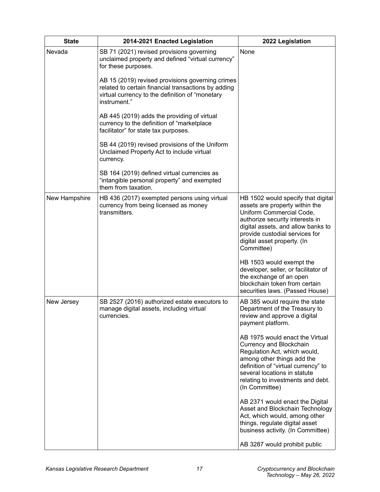| <b>State</b>  | 2014-2021 Enacted Legislation                                                                                                                                              | 2022 Legislation                                                                                                                                                                                                                                              |
|---------------|----------------------------------------------------------------------------------------------------------------------------------------------------------------------------|---------------------------------------------------------------------------------------------------------------------------------------------------------------------------------------------------------------------------------------------------------------|
| Nevada        | SB 71 (2021) revised provisions governing<br>unclaimed property and defined "virtual currency"<br>for these purposes.                                                      | None                                                                                                                                                                                                                                                          |
|               | AB 15 (2019) revised provisions governing crimes<br>related to certain financial transactions by adding<br>virtual currency to the definition of "monetary<br>instrument." |                                                                                                                                                                                                                                                               |
|               | AB 445 (2019) adds the providing of virtual<br>currency to the definition of "marketplace<br>facilitator" for state tax purposes.                                          |                                                                                                                                                                                                                                                               |
|               | SB 44 (2019) revised provisions of the Uniform<br>Unclaimed Property Act to include virtual<br>currency.                                                                   |                                                                                                                                                                                                                                                               |
|               | SB 164 (2019) defined virtual currencies as<br>"intangible personal property" and exempted<br>them from taxation.                                                          |                                                                                                                                                                                                                                                               |
| New Hampshire | HB 436 (2017) exempted persons using virtual<br>currency from being licensed as money<br>transmitters.                                                                     | HB 1502 would specify that digital<br>assets are property within the<br>Uniform Commercial Code,<br>authorize security interests in<br>digital assets, and allow banks to<br>provide custodial services for<br>digital asset property. (In<br>Committee)      |
|               |                                                                                                                                                                            | HB 1503 would exempt the<br>developer, seller, or facilitator of<br>the exchange of an open<br>blockchain token from certain<br>securities laws. (Passed House)                                                                                               |
| New Jersey    | SB 2527 (2016) authorized estate executors to<br>manage digital assets, including virtual<br>currencies.                                                                   | AB 385 would require the state<br>Department of the Treasury to<br>review and approve a digital<br>payment platform.                                                                                                                                          |
|               |                                                                                                                                                                            | AB 1975 would enact the Virtual<br><b>Currency and Blockchain</b><br>Regulation Act, which would,<br>among other things add the<br>definition of "virtual currency" to<br>several locations in statute<br>relating to investments and debt.<br>(In Committee) |
|               |                                                                                                                                                                            | AB 2371 would enact the Digital<br>Asset and Blockchain Technology<br>Act, which would, among other<br>things, regulate digital asset<br>business activity. (In Committee)<br>AB 3287 would prohibit public                                                   |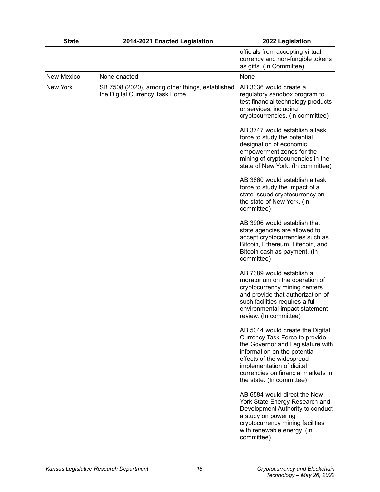| <b>State</b>      | 2014-2021 Enacted Legislation                                                       | 2022 Legislation                                                                                                                                                                                                                                                     |
|-------------------|-------------------------------------------------------------------------------------|----------------------------------------------------------------------------------------------------------------------------------------------------------------------------------------------------------------------------------------------------------------------|
|                   |                                                                                     | officials from accepting virtual<br>currency and non-fungible tokens<br>as gifts. (In Committee)                                                                                                                                                                     |
| <b>New Mexico</b> | None enacted                                                                        | None                                                                                                                                                                                                                                                                 |
| New York          | SB 7508 (2020), among other things, established<br>the Digital Currency Task Force. | AB 3336 would create a<br>regulatory sandbox program to<br>test financial technology products<br>or services, including<br>cryptocurrencies. (In committee)                                                                                                          |
|                   |                                                                                     | AB 3747 would establish a task<br>force to study the potential<br>designation of economic<br>empowerment zones for the<br>mining of cryptocurrencies in the<br>state of New York. (In committee)                                                                     |
|                   |                                                                                     | AB 3860 would establish a task<br>force to study the impact of a<br>state-issued cryptocurrency on<br>the state of New York. (In<br>committee)                                                                                                                       |
|                   |                                                                                     | AB 3906 would establish that<br>state agencies are allowed to<br>accept cryptocurrencies such as<br>Bitcoin, Ethereum, Litecoin, and<br>Bitcoin cash as payment. (In<br>committee)                                                                                   |
|                   |                                                                                     | AB 7389 would establish a<br>moratorium on the operation of<br>cryptocurrency mining centers<br>and provide that authorization of<br>such facilities requires a full<br>environmental impact statement<br>review. (In committee)                                     |
|                   |                                                                                     | AB 5044 would create the Digital<br>Currency Task Force to provide<br>the Governor and Legislature with<br>information on the potential<br>effects of the widespread<br>implementation of digital<br>currencies on financial markets in<br>the state. (In committee) |
|                   |                                                                                     | AB 6584 would direct the New<br>York State Energy Research and<br>Development Authority to conduct<br>a study on powering<br>cryptocurrency mining facilities<br>with renewable energy. (In<br>committee)                                                            |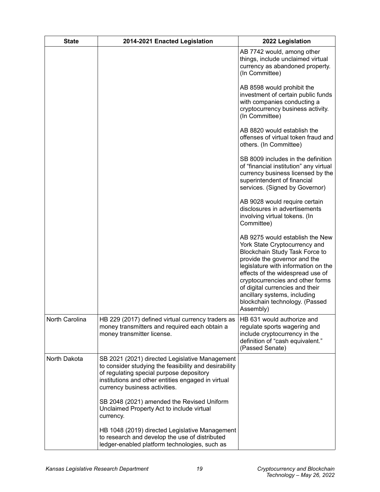| <b>State</b>   | 2014-2021 Enacted Legislation                                                                                                                                                                                                              | 2022 Legislation                                                                                                                                                                                                                                                                                                                                                    |
|----------------|--------------------------------------------------------------------------------------------------------------------------------------------------------------------------------------------------------------------------------------------|---------------------------------------------------------------------------------------------------------------------------------------------------------------------------------------------------------------------------------------------------------------------------------------------------------------------------------------------------------------------|
|                |                                                                                                                                                                                                                                            | AB 7742 would, among other<br>things, include unclaimed virtual<br>currency as abandoned property.<br>(In Committee)                                                                                                                                                                                                                                                |
|                |                                                                                                                                                                                                                                            | AB 8598 would prohibit the<br>investment of certain public funds<br>with companies conducting a<br>cryptocurrency business activity.<br>(In Committee)                                                                                                                                                                                                              |
|                |                                                                                                                                                                                                                                            | AB 8820 would establish the<br>offenses of virtual token fraud and<br>others. (In Committee)                                                                                                                                                                                                                                                                        |
|                |                                                                                                                                                                                                                                            | SB 8009 includes in the definition<br>of "financial institution" any virtual<br>currency business licensed by the<br>superintendent of financial<br>services. (Signed by Governor)                                                                                                                                                                                  |
|                |                                                                                                                                                                                                                                            | AB 9028 would require certain<br>disclosures in advertisements<br>involving virtual tokens. (In<br>Committee)                                                                                                                                                                                                                                                       |
|                |                                                                                                                                                                                                                                            | AB 9275 would establish the New<br>York State Cryptocurrency and<br>Blockchain Study Task Force to<br>provide the governor and the<br>legislature with information on the<br>effects of the widespread use of<br>cryptocurrencies and other forms<br>of digital currencies and their<br>ancillary systems, including<br>blockchain technology. (Passed<br>Assembly) |
| North Carolina | HB 229 (2017) defined virtual currency traders as<br>money transmitters and required each obtain a<br>money transmitter license.                                                                                                           | HB 631 would authorize and<br>regulate sports wagering and<br>include cryptocurrency in the<br>definition of "cash equivalent."<br>(Passed Senate)                                                                                                                                                                                                                  |
| North Dakota   | SB 2021 (2021) directed Legislative Management<br>to consider studying the feasibility and desirability<br>of regulating special purpose depository<br>institutions and other entities engaged in virtual<br>currency business activities. |                                                                                                                                                                                                                                                                                                                                                                     |
|                | SB 2048 (2021) amended the Revised Uniform<br>Unclaimed Property Act to include virtual<br>currency.                                                                                                                                       |                                                                                                                                                                                                                                                                                                                                                                     |
|                | HB 1048 (2019) directed Legislative Management<br>to research and develop the use of distributed<br>ledger-enabled platform technologies, such as                                                                                          |                                                                                                                                                                                                                                                                                                                                                                     |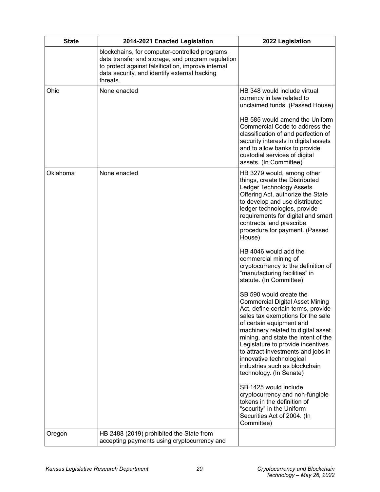| <b>State</b> | 2014-2021 Enacted Legislation                                                                                                                                                                                         | 2022 Legislation                                                                                                                                                                                                                                                                                                                                                                                                                                                                                                                                                                                                                                                                                                                                                                                                                                                                                                                                                                                                                                                   |
|--------------|-----------------------------------------------------------------------------------------------------------------------------------------------------------------------------------------------------------------------|--------------------------------------------------------------------------------------------------------------------------------------------------------------------------------------------------------------------------------------------------------------------------------------------------------------------------------------------------------------------------------------------------------------------------------------------------------------------------------------------------------------------------------------------------------------------------------------------------------------------------------------------------------------------------------------------------------------------------------------------------------------------------------------------------------------------------------------------------------------------------------------------------------------------------------------------------------------------------------------------------------------------------------------------------------------------|
|              | blockchains, for computer-controlled programs,<br>data transfer and storage, and program regulation<br>to protect against falsification, improve internal<br>data security, and identify external hacking<br>threats. |                                                                                                                                                                                                                                                                                                                                                                                                                                                                                                                                                                                                                                                                                                                                                                                                                                                                                                                                                                                                                                                                    |
| Ohio         | None enacted                                                                                                                                                                                                          | HB 348 would include virtual<br>currency in law related to<br>unclaimed funds. (Passed House)<br>HB 585 would amend the Uniform<br>Commercial Code to address the<br>classification of and perfection of<br>security interests in digital assets<br>and to allow banks to provide<br>custodial services of digital<br>assets. (In Committee)                                                                                                                                                                                                                                                                                                                                                                                                                                                                                                                                                                                                                                                                                                                       |
| Oklahoma     | None enacted                                                                                                                                                                                                          | HB 3279 would, among other<br>things, create the Distributed<br>Ledger Technology Assets<br>Offering Act, authorize the State<br>to develop and use distributed<br>ledger technologies, provide<br>requirements for digital and smart<br>contracts, and prescribe<br>procedure for payment. (Passed<br>House)<br>HB 4046 would add the<br>commercial mining of<br>cryptocurrency to the definition of<br>"manufacturing facilities" in<br>statute. (In Committee)<br>SB 590 would create the<br><b>Commercial Digital Asset Mining</b><br>Act, define certain terms, provide<br>sales tax exemptions for the sale<br>of certain equipment and<br>machinery related to digital asset<br>mining, and state the intent of the<br>Legislature to provide incentives<br>to attract investments and jobs in<br>innovative technological<br>industries such as blockchain<br>technology. (In Senate)<br>SB 1425 would include<br>cryptocurrency and non-fungible<br>tokens in the definition of<br>"security" in the Uniform<br>Securities Act of 2004. (In<br>Committee) |
| Oregon       | HB 2488 (2019) prohibited the State from<br>accepting payments using cryptocurrency and                                                                                                                               |                                                                                                                                                                                                                                                                                                                                                                                                                                                                                                                                                                                                                                                                                                                                                                                                                                                                                                                                                                                                                                                                    |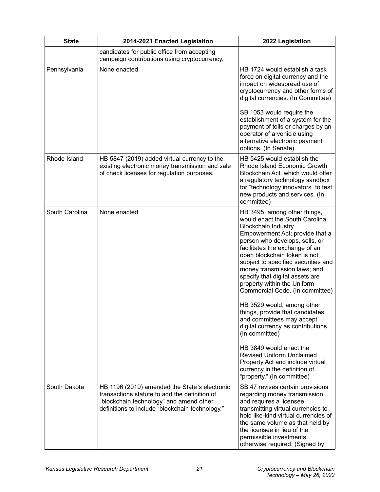| <b>State</b>   | 2014-2021 Enacted Legislation                                                                                                                                                                | 2022 Legislation                                                                                                                                                                                                                                                                                                                                                                                                                                                                                                                                                                                 |
|----------------|----------------------------------------------------------------------------------------------------------------------------------------------------------------------------------------------|--------------------------------------------------------------------------------------------------------------------------------------------------------------------------------------------------------------------------------------------------------------------------------------------------------------------------------------------------------------------------------------------------------------------------------------------------------------------------------------------------------------------------------------------------------------------------------------------------|
|                | candidates for public office from accepting<br>campaign contributions using cryptocurrency.                                                                                                  |                                                                                                                                                                                                                                                                                                                                                                                                                                                                                                                                                                                                  |
| Pennsylvania   | None enacted                                                                                                                                                                                 | HB 1724 would establish a task<br>force on digital currency and the<br>impact on widespread use of<br>cryptocurrency and other forms of<br>digital currencies. (In Committee)                                                                                                                                                                                                                                                                                                                                                                                                                    |
|                |                                                                                                                                                                                              | SB 1053 would require the<br>establishment of a system for the<br>payment of tolls or charges by an<br>operator of a vehicle using<br>alternative electronic payment<br>options. (In Senate)                                                                                                                                                                                                                                                                                                                                                                                                     |
| Rhode Island   | HB 5847 (2019) added virtual currency to the<br>existing electronic money transmission and sale<br>of check licenses for regulation purposes.                                                | HB 5425 would establish the<br>Rhode Island Economic Growth<br>Blockchain Act, which would offer<br>a regulatory technology sandbox<br>for "technology innovators" to test<br>new products and services. (In<br>committee)                                                                                                                                                                                                                                                                                                                                                                       |
| South Carolina | None enacted                                                                                                                                                                                 | HB 3495, among other things,<br>would enact the South Carolina<br><b>Blockchain Industry</b><br>Empowerment Act; provide that a<br>person who develops, sells, or<br>facilitates the exchange of an<br>open blockchain token is not<br>subject to specified securities and<br>money transmission laws; and<br>specify that digital assets are<br>property within the Uniform<br>Commercial Code. (In committee)<br>HB 3529 would, among other<br>things, provide that candidates<br>and committees may accept<br>digital currency as contributions.<br>(In committee)<br>HB 3849 would enact the |
|                |                                                                                                                                                                                              | <b>Revised Uniform Unclaimed</b><br>Property Act and include virtual<br>currency in the definition of<br>"property." (In committee)                                                                                                                                                                                                                                                                                                                                                                                                                                                              |
| South Dakota   | HB 1196 (2019) amended the State's electronic<br>transactions statute to add the definition of<br>"blockchain technology" and amend other<br>definitions to include "blockchain technology." | SB 47 revises certain provisions<br>regarding money transmission<br>and requires a licensee<br>transmitting virtual currencies to<br>hold like-kind virtual currencies of<br>the same volume as that held by<br>the licensee in lieu of the<br>permissible investments<br>otherwise required. (Signed by                                                                                                                                                                                                                                                                                         |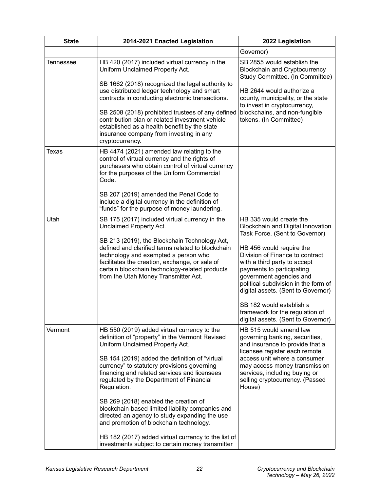| <b>State</b> | 2014-2021 Enacted Legislation                                                                                                                                                                                                                                                          | 2022 Legislation                                                                                                                                                                                                                  |
|--------------|----------------------------------------------------------------------------------------------------------------------------------------------------------------------------------------------------------------------------------------------------------------------------------------|-----------------------------------------------------------------------------------------------------------------------------------------------------------------------------------------------------------------------------------|
|              |                                                                                                                                                                                                                                                                                        | Governor)                                                                                                                                                                                                                         |
| Tennessee    | HB 420 (2017) included virtual currency in the<br>Uniform Unclaimed Property Act.                                                                                                                                                                                                      | SB 2855 would establish the<br><b>Blockchain and Cryptocurrency</b><br>Study Committee. (In Committee)                                                                                                                            |
|              | SB 1662 (2018) recognized the legal authority to<br>use distributed ledger technology and smart<br>contracts in conducting electronic transactions.                                                                                                                                    | HB 2644 would authorize a<br>county, municipality, or the state<br>to invest in cryptocurrency,<br>blockchains, and non-fungible<br>tokens. (In Committee)                                                                        |
|              | SB 2508 (2018) prohibited trustees of any defined<br>contribution plan or related investment vehicle<br>established as a health benefit by the state<br>insurance company from investing in any<br>cryptocurrency.                                                                     |                                                                                                                                                                                                                                   |
| Texas        | HB 4474 (2021) amended law relating to the<br>control of virtual currency and the rights of<br>purchasers who obtain control of virtual currency<br>for the purposes of the Uniform Commercial<br>Code.                                                                                |                                                                                                                                                                                                                                   |
|              | SB 207 (2019) amended the Penal Code to<br>include a digital currency in the definition of<br>"funds" for the purpose of money laundering.                                                                                                                                             |                                                                                                                                                                                                                                   |
| Utah         | SB 175 (2017) included virtual currency in the<br>Unclaimed Property Act.                                                                                                                                                                                                              | HB 335 would create the<br>Blockchain and Digital Innovation<br>Task Force. (Sent to Governor)                                                                                                                                    |
|              | SB 213 (2019), the Blockchain Technology Act,<br>defined and clarified terms related to blockchain<br>technology and exempted a person who<br>facilitates the creation, exchange, or sale of<br>certain blockchain technology-related products<br>from the Utah Money Transmitter Act. | HB 456 would require the<br>Division of Finance to contract<br>with a third party to accept<br>payments to participating<br>government agencies and<br>political subdivision in the form of<br>digital assets. (Sent to Governor) |
|              |                                                                                                                                                                                                                                                                                        | SB 182 would establish a<br>framework for the regulation of<br>digital assets. (Sent to Governor)                                                                                                                                 |
| Vermont      | HB 550 (2019) added virtual currency to the<br>definition of "property" in the Vermont Revised<br>Uniform Unclaimed Property Act.                                                                                                                                                      | HB 515 would amend law<br>governing banking, securities,<br>and insurance to provide that a<br>licensee register each remote                                                                                                      |
|              | SB 154 (2019) added the definition of "virtual<br>currency" to statutory provisions governing<br>financing and related services and licensees<br>regulated by the Department of Financial<br>Regulation.                                                                               | access unit where a consumer<br>may access money transmission<br>services, including buying or<br>selling cryptocurrency. (Passed<br>House)                                                                                       |
|              | SB 269 (2018) enabled the creation of<br>blockchain-based limited liability companies and<br>directed an agency to study expanding the use<br>and promotion of blockchain technology.                                                                                                  |                                                                                                                                                                                                                                   |
|              | HB 182 (2017) added virtual currency to the list of<br>investments subject to certain money transmitter                                                                                                                                                                                |                                                                                                                                                                                                                                   |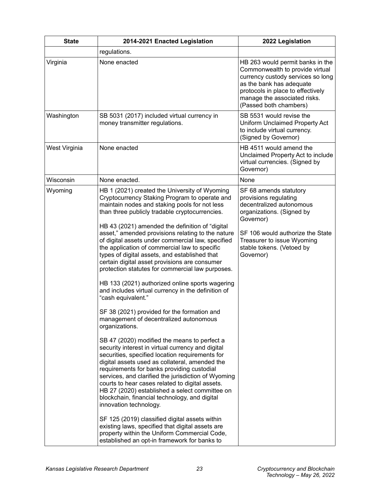| <b>State</b>  | 2014-2021 Enacted Legislation                                                                                                                                                                                                                                                                                                                                                                                                                                                                                                                                                                                                                                                                                                                                                                                                                                                                                                                                                                                                                                                                                                  | 2022 Legislation                                                                                                                                                                                                                    |
|---------------|--------------------------------------------------------------------------------------------------------------------------------------------------------------------------------------------------------------------------------------------------------------------------------------------------------------------------------------------------------------------------------------------------------------------------------------------------------------------------------------------------------------------------------------------------------------------------------------------------------------------------------------------------------------------------------------------------------------------------------------------------------------------------------------------------------------------------------------------------------------------------------------------------------------------------------------------------------------------------------------------------------------------------------------------------------------------------------------------------------------------------------|-------------------------------------------------------------------------------------------------------------------------------------------------------------------------------------------------------------------------------------|
|               | regulations.                                                                                                                                                                                                                                                                                                                                                                                                                                                                                                                                                                                                                                                                                                                                                                                                                                                                                                                                                                                                                                                                                                                   |                                                                                                                                                                                                                                     |
| Virginia      | None enacted                                                                                                                                                                                                                                                                                                                                                                                                                                                                                                                                                                                                                                                                                                                                                                                                                                                                                                                                                                                                                                                                                                                   | HB 263 would permit banks in the<br>Commonwealth to provide virtual<br>currency custody services so long<br>as the bank has adequate<br>protocols in place to effectively<br>manage the associated risks.<br>(Passed both chambers) |
| Washington    | SB 5031 (2017) included virtual currency in<br>money transmitter regulations.                                                                                                                                                                                                                                                                                                                                                                                                                                                                                                                                                                                                                                                                                                                                                                                                                                                                                                                                                                                                                                                  | SB 5531 would revise the<br>Uniform Unclaimed Property Act<br>to include virtual currency.<br>(Signed by Governor)                                                                                                                  |
| West Virginia | None enacted                                                                                                                                                                                                                                                                                                                                                                                                                                                                                                                                                                                                                                                                                                                                                                                                                                                                                                                                                                                                                                                                                                                   | HB 4511 would amend the<br>Unclaimed Property Act to include<br>virtual currencies. (Signed by<br>Governor)                                                                                                                         |
| Wisconsin     | None enacted.                                                                                                                                                                                                                                                                                                                                                                                                                                                                                                                                                                                                                                                                                                                                                                                                                                                                                                                                                                                                                                                                                                                  | None                                                                                                                                                                                                                                |
| Wyoming       | HB 1 (2021) created the University of Wyoming<br>Cryptocurrency Staking Program to operate and<br>maintain nodes and staking pools for not less<br>than three publicly tradable cryptocurrencies.<br>HB 43 (2021) amended the definition of "digital<br>asset," amended provisions relating to the nature<br>of digital assets under commercial law, specified<br>the application of commercial law to specific<br>types of digital assets, and established that<br>certain digital asset provisions are consumer<br>protection statutes for commercial law purposes.<br>HB 133 (2021) authorized online sports wagering<br>and includes virtual currency in the definition of<br>"cash equivalent."<br>SF 38 (2021) provided for the formation and<br>management of decentralized autonomous<br>organizations.<br>SB 47 (2020) modified the means to perfect a<br>security interest in virtual currency and digital<br>securities, specified location requirements for<br>digital assets used as collateral, amended the<br>requirements for banks providing custodial<br>services, and clarified the jurisdiction of Wyoming | SF 68 amends statutory<br>provisions regulating<br>decentralized autonomous<br>organizations. (Signed by<br>Governor)<br>SF 106 would authorize the State<br>Treasurer to issue Wyoming<br>stable tokens. (Vetoed by<br>Governor)   |
|               | courts to hear cases related to digital assets.<br>HB 27 (2020) established a select committee on<br>blockchain, financial technology, and digital<br>innovation technology.<br>SF 125 (2019) classified digital assets within<br>existing laws, specified that digital assets are<br>property within the Uniform Commercial Code,<br>established an opt-in framework for banks to                                                                                                                                                                                                                                                                                                                                                                                                                                                                                                                                                                                                                                                                                                                                             |                                                                                                                                                                                                                                     |